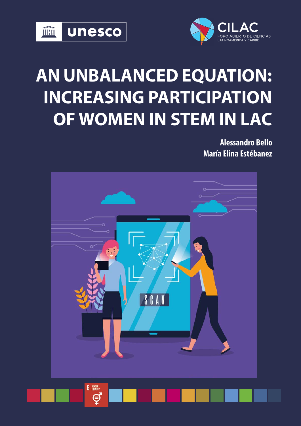



# **AN UNBALANCED EQUATION: INCREASING PARTICIPATION OF WOMEN IN STEM IN LAC**

**Alessandro Bello María Elina Estébanez**

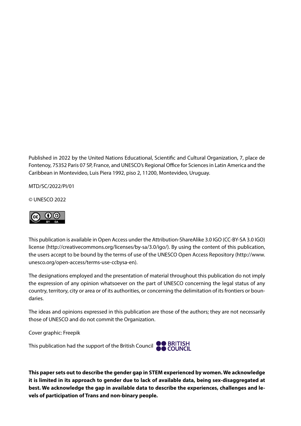Published in 2022 by the United Nations Educational, Scientific and Cultural Organization, 7, place de Fontenoy, 75352 Paris 07 SP, France, and UNESCO's Regional Office for Sciences in Latin America and the Caribbean in Montevideo, Luis Piera 1992, piso 2, 11200, Montevideo, Uruguay.

MTD/SC/2022/PI/01

© UNESCO 2022



This publication is available in Open Access under the Attribution-ShareAlike 3.0 IGO (CC-BY-SA 3.0 IGO) license (http://creativecommons.org/licenses/by-sa/3.0/igo/). By using the content of this publication, the users accept to be bound by the terms of use of the UNESCO Open Access Repository (http://www. unesco.org/open-access/terms-use-ccbysa-en).

The designations employed and the presentation of material throughout this publication do not imply the expression of any opinion whatsoever on the part of UNESCO concerning the legal status of any country, territory, city or area or of its authorities, or concerning the delimitation of its frontiers or boundaries.

The ideas and opinions expressed in this publication are those of the authors; they are not necessarily those of UNESCO and do not commit the Organization.

Cover graphic: Freepik

This publication had the support of the British Council **COUNCIL** 



**This paper sets out to describe the gender gap in STEM experienced by women. We acknowledge it is limited in its approach to gender due to lack of available data, being sex-disaggregated at best. We acknowledge the gap in available data to describe the experiences, challenges and levels of participation of Trans and non-binary people.**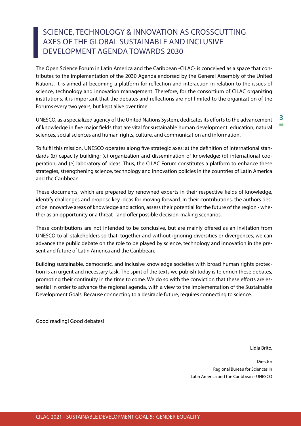## SCIENCE, TECHNOLOGY & INNOVATION AS CROSSCUTTING AXES OF THE GLOBAL SUSTAINABLE AND INCLUSIVE DEVELOPMENT AGENDA TOWARDS 2030

The Open Science Forum in Latin America and the Caribbean -CILAC- is conceived as a space that contributes to the implementation of the 2030 Agenda endorsed by the General Assembly of the United Nations. It is aimed at becoming a platform for reflection and interaction in relation to the issues of science, technology and innovation management. Therefore, for the consortium of CILAC organizing institutions, it is important that the debates and reflections are not limited to the organization of the Forums every two years, but kept alive over time.

UNESCO, as a specialized agency of the United Nations System, dedicates its efforts to the advancement of knowledge in five major fields that are vital for sustainable human development: education, natural sciences, social sciences and human rights, culture, and communication and information.

To fulfil this mission, UNESCO operates along five strategic axes: a) the definition of international standards (b) capacity building; (c) organization and dissemination of knowledge; (d) international cooperation; and (e) laboratory of ideas. Thus, the CILAC Forum constitutes a platform to enhance these strategies, strengthening science, technology and innovation policies in the countries of Latin America and the Caribbean.

These documents, which are prepared by renowned experts in their respective fields of knowledge, identify challenges and propose key ideas for moving forward. In their contributions, the authors describe innovative areas of knowledge and action, assess their potential for the future of the region - whether as an opportunity or a threat - and offer possible decision-making scenarios.

These contributions are not intended to be conclusive, but are mainly offered as an invitation from UNESCO to all stakeholders so that, together and without ignoring diversities or divergences, we can advance the public debate on the role to be played by science, technology and innovation in the present and future of Latin America and the Caribbean.

Building sustainable, democratic, and inclusive knowledge societies with broad human rights protection is an urgent and necessary task. The spirit of the texts we publish today is to enrich these debates, promoting their continuity in the time to come. We do so with the conviction that these efforts are essential in order to advance the regional agenda, with a view to the implementation of the Sustainable Development Goals. Because connecting to a desirable future, requires connecting to science.

Good reading! Good debates!

Lidia Brito,

**3**

 $\overline{\phantom{a}}$ 

Director Regional Bureau for Sciences in Latin America and the Caribbean - UNESCO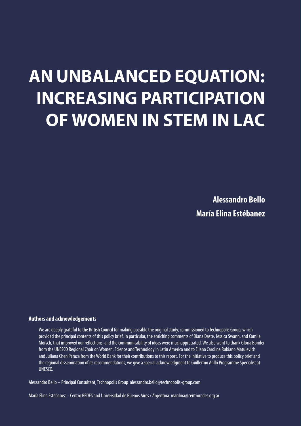# **AN UNBALANCED EQUATION: INCREASING PARTICIPATION OF WOMEN IN STEM IN LAC**

**Alessandro Bello María Elina Estébanez**

#### **Authors and acknowledgements**

We are deeply grateful to the British Council for making possible the original study, commissioned to Technopolis Group, which provided the principal contents of this policy brief. In particular, the enriching comments of Diana Daste, Jessica Swann, and Camila Morsch, that improved our reflections, and the communicability of ideas were muchappreciated. We also want to thank Gloria Bonder from the UNESCO Regional Chair on Women, Science and Technology in Latin America and to Eliana Carolina Rubiano Matulevich and Juliana Chen Peraza from the World Bank for their contributions to this report. For the initiative to produce this policy brief and the regional dissemination of its recommendations, we give a special acknowledgment to Guillermo Anlló Programme Specialist at UNESCO.

Alessandro Bello – Principal Consultant, Technopolis Group alessandro.bello@technopolis-group.com

María Elina Estébanez – Centro REDES and Universidad de Buenos Aires / Argentina marilina@centroredes.org.ar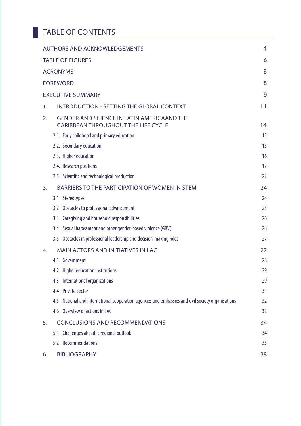|                 | <b>AUTHORS AND ACKNOWLEDGEMENTS</b>                                                             | 4  |
|-----------------|-------------------------------------------------------------------------------------------------|----|
|                 | <b>TABLE OF FIGURES</b>                                                                         | 6  |
| <b>ACRONYMS</b> |                                                                                                 | 6  |
| <b>FOREWORD</b> |                                                                                                 | 8  |
|                 | <b>EXECUTIVE SUMMARY</b>                                                                        | 9  |
| 1.              | <b>INTRODUCTION - SETTING THE GLOBAL CONTEXT</b>                                                | 11 |
| 2.              | <b>GENDER AND SCIENCE IN LATIN AMERICAAND THE</b><br><b>CARIBBEAN THROUGHOUT THE LIFE CYCLE</b> | 14 |
|                 | 2.1. Early childhood and primary education                                                      | 15 |
|                 | 2.2. Secondary education                                                                        | 15 |
|                 | 2.3. Higher education                                                                           | 16 |
|                 | 2.4. Research positions                                                                         | 17 |
|                 | 2.5. Scientific and technological production                                                    | 22 |
| 3.              | BARRIERS TO THE PARTICIPATION OF WOMEN IN STEM                                                  | 24 |
| 3.1             | Stereotypes                                                                                     | 24 |
| 3.2             | Obstacles to professional advancement                                                           | 25 |
| 3.3             | Caregiving and household responsibilities                                                       | 26 |
|                 | 3.4 Sexual harassment and other gender-based violence (GBV)                                     | 26 |
|                 | 3.5 Obstacles in professional leadership and decision-making roles                              | 27 |
| 4.              | <b>MAIN ACTORS AND INITIATIVES IN LAC</b>                                                       | 27 |
|                 | 4.1 Government                                                                                  | 28 |
|                 | 4.2 Higher education institutions                                                               | 29 |
| 4.3             | International organizations                                                                     | 29 |
|                 | 4.4 Private Sector                                                                              | 31 |
| 4.5             | National and international cooperation agencies and embassies and civil society organisations   | 32 |
|                 | 4.6 Overview of actions in LAC                                                                  | 32 |
| 5.              | <b>CONCLUSIONS AND RECOMMENDATIONS</b>                                                          | 34 |
| 5.1             | Challenges ahead: a regional outlook                                                            | 34 |
|                 | 5.2 Recommendations                                                                             | 35 |
| 6.              | <b>BIBLIOGRAPHY</b>                                                                             | 38 |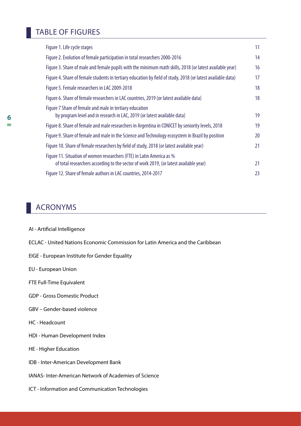## TABLE OF FIGURES

| Figure 1. Life cycle stages                                                                                                                                    | 11 |
|----------------------------------------------------------------------------------------------------------------------------------------------------------------|----|
| Figure 2. Evolution of female participation in total researchers 2000-2016                                                                                     | 14 |
| Figure 3. Share of male and female pupils with the minimum math skills, 2018 (or latest available year)                                                        | 16 |
| Figure 4. Share of female students in tertiary education by field of study, 2018 (or latest available data)                                                    | 17 |
| Figure 5. Female researchers in LAC 2009-2018                                                                                                                  | 18 |
| Figure 6. Share of female researchers in LAC countries, 2019 (or latest available data)                                                                        | 18 |
| Figure 7 Share of female and male in tertiary education<br>by program level and in research in LAC, 2019 (or latest available data)                            | 19 |
| Figure 8. Share of female and male researchers in Argentina in CONICET by seniority levels, 2018                                                               | 19 |
| Figure 9. Share of female and male in the Science and Technology ecosystem in Brazil by position                                                               | 20 |
| Figure 10. Share of female researchers by field of study, 2018 (or latest available year)                                                                      | 21 |
| Figure 11. Situation of women researchers (FTE) in Latin America as %<br>of total researchers according to the sector of work 2019, (or latest available year) | 21 |
| Figure 12. Share of female authors in LAC countries, 2014-2017                                                                                                 | 23 |

## ACRONYMS

- AI Artificial Intelligence
- ECLAC United Nations Economic Commission for Latin America and the Caribbean
- EIGE European Institute for Gender Equality
- EU European Union
- FTE Full-Time Equivalent
- GDP Gross Domestic Product
- GBV Gender-based violence
- HC Headcount
- HDI Human Development Index
- HE Higher Education
- IDB Inter-American Development Bank
- IANAS- Inter-American Network of Academies of Science
- ICT Information and Communication Technologies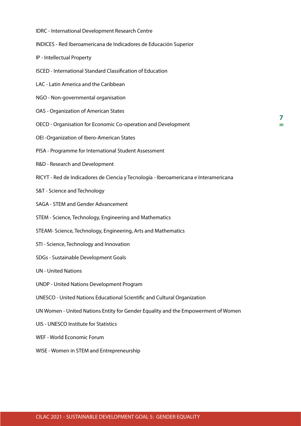IDRC - International Development Research Centre

INDICES - Red Iberoamericana de Indicadores de Educación Superior

- IP Intellectual Property
- ISCED International Standard Classification of Education
- LAC Latin America and the Caribbean
- NGO Non-governmental organisation
- OAS Organization of American States
- OECD Organisation for Economic Co-operation and Development
- OEI -Organization of Ibero-American States
- PISA Programme for International Student Assessment
- R&D Research and Development
- RICYT Red de Indicadores de Ciencia y Tecnología Iberoamericana e Interamericana
- S&T Science and Technology
- SAGA STEM and Gender Advancement
- STEM Science, Technology, Engineering and Mathematics
- STEAM- Science, Technology, Engineering, Arts and Mathematics
- STI Science, Technology and Innovation
- SDGs Sustainable Development Goals
- UN United Nations
- UNDP United Nations Development Program
- UNESCO United Nations Educational Scientific and Cultural Organization
- UN Women United Nations Entity for Gender Equality and the Empowerment of Women
- UIS UNESCO Institute for Statistics
- WEF World Economic Forum
- WISE Women in STEM and Entrepreneurship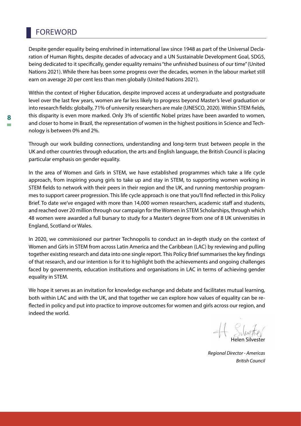### FOREWORD

Despite gender equality being enshrined in international law since 1948 as part of the Universal Declaration of Human Rights, despite decades of advocacy and a UN Sustainable Development Goal, SDG5, being dedicated to it specifically, gender equality remains "the unfinished business of our time" (United Nations 2021). While there has been some progress over the decades, women in the labour market still earn on average 20 per cent less than men globally (United Nations 2021).

Within the context of Higher Education, despite improved access at undergraduate and postgraduate level over the last few years, women are far less likely to progress beyond Master's level graduation or into research fields: globally, 71% of university researchers are male (UNESCO, 2020). Within STEM fields, this disparity is even more marked. Only 3% of scientific Nobel prizes have been awarded to women, and closer to home in Brazil, the representation of women in the highest positions in Science and Technology is between 0% and 2%.

Through our work building connections, understanding and long-term trust between people in the UK and other countries through education, the arts and English language, the British Council is placing particular emphasis on gender equality.

In the area of Women and Girls in STEM, we have established programmes which take a life cycle approach, from inspiring young girls to take up and stay in STEM, to supporting women working in STEM fields to network with their peers in their region and the UK, and running mentorship programmes to support career progression. This life cycle approach is one that you'll find reflected in this Policy Brief. To date we've engaged with more than 14,000 women researchers, academic staff and students, and reached over 20 million through our campaign for the Women in STEM Scholarships, through which 48 women were awarded a full bursary to study for a Master's degree from one of 8 UK universities in England, Scotland or Wales.

In 2020, we commissioned our partner Technopolis to conduct an in-depth study on the context of Women and Girls in STEM from across Latin America and the Caribbean (LAC) by reviewing and pulling together existing research and data into one single report. This Policy Brief summarises the key findings of that research, and our intention is for it to highlight both the achievements and ongoing challenges faced by governments, education institutions and organisations in LAC in terms of achieving gender equality in STEM.

We hope it serves as an invitation for knowledge exchange and debate and facilitates mutual learning, both within LAC and with the UK, and that together we can explore how values of equality can be reflected in policy and put into practice to improve outcomes for women and girls across our region, and indeed the world.

Helen Silvester

*Regional Director - Americas British Council*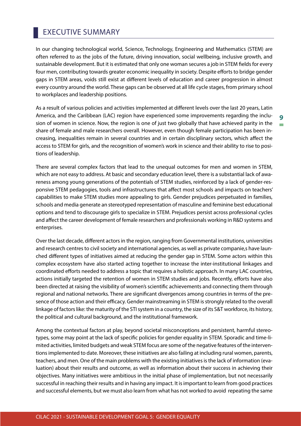## EXECUTIVE SUMMARY

In our changing technological world, Science, Technology, Engineering and Mathematics (STEM) are often referred to as the jobs of the future, driving innovation, social wellbeing, inclusive growth, and sustainable development. But it is estimated that only one woman secures a job in STEM fields for every four men, contributing towards greater economic inequality in society. Despite efforts to bridge gender gaps in STEM areas, voids still exist at different levels of education and career progression in almost every country around the world. These gaps can be observed at all life cycle stages, from primary school to workplaces and leadership positions.

As a result of various policies and activities implemented at different levels over the last 20 years, Latin America, and the Caribbean (LAC) region have experienced some improvements regarding the inclusion of women in science. Now, the region is one of just two globally that have achieved parity in the share of female and male researchers overall. However, even though female participation has been increasing, inequalities remain in several countries and in certain disciplinary sectors, which affect the access to STEM for girls, and the recognition of women's work in science and their ability to rise to positions of leadership.

There are several complex factors that lead to the unequal outcomes for men and women in STEM, which are not easy to address. At basic and secondary education level, there is a substantial lack of awareness among young generations of the potentials of STEM studies, reinforced by a lack of gender-responsive STEM pedagogies, tools and infrastructures that affect most schools and impacts on teachers' capabilities to make STEM studies more appealing to girls. Gender prejudices perpetuated in families, schools and media generate an stereotyped representation of masculine and feminine best educational options and tend to discourage girls to specialize in STEM. Prejudices persist across professional cycles and affect the career development of female researchers and professionals working in R&D systems and enterprises.

Over the last decade, different actors in the region, ranging from Governmental institutions, universities and research centres to civil society and international agencies, as well as private companie,s have launched different types of initiatives aimed at reducing the gender gap in STEM. Some actors within this complex ecosystem have also started acting together to increase the inter-institutional linkages and coordinated efforts needed to address a topic that requires a holistic approach. In many LAC countries, actions initially targeted the retention of women in STEM studies and jobs. Recently, efforts have also been directed at raising the visibility of women's scientific achievements and connecting them through regional and national networks. There are significant divergences among countries in terms of the presence of those action and their efficacy. Gender mainstreaming in STEM is strongly related to the overall linkage of factors like: the maturity of the STI system in a country, the size of its S&T workforce, its history, the political and cultural background, and the institutional framework.

Among the contextual factors at play, beyond societal misconceptions and persistent, harmful stereotypes, some may point at the lack of specific policies for gender equality in STEM. Sporadic and time-limited activities, limited budgets and weak STEM focus are some of the negative features of the interventions implemented to date. Moreover, these initiatives are also failing at including rural women, parents, teachers, and men. One of the main problems with the existing initiatives is the lack of information (evaluation) about their results and outcome, as well as information about their success in achieving their objectives. Many initiatives were ambitious in the initial phase of implementation, but not necessarily successful in reaching their results and in having any impact. It is important to learn from good practices and successful elements, but we must also learn from what has not worked to avoid repeating the same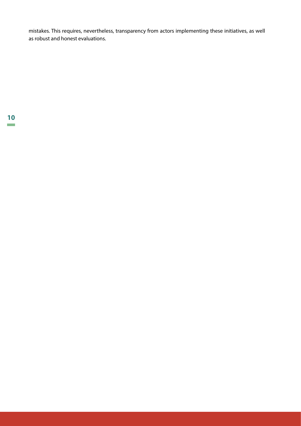mistakes. This requires, nevertheless, transparency from actors implementing these initiatives, as well as robust and honest evaluations.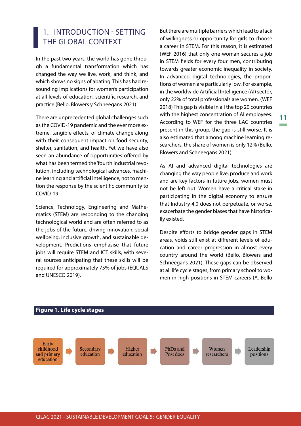## 1. INTRODUCTION - SETTING THE GLOBAL CONTEXT

In the past two years, the world has gone through a fundamental transformation which has changed the way we live, work, and think, and which shows no signs of abating. This has had resounding implications for women's participation at all levels of education, scientific research, and practice (Bello, Blowers y Schneegans 2021).

There are unprecedented global challenges such as the COVID-19 pandemic and the ever more extreme, tangible effects, of climate change along with their consequent impact on food security, shelter, sanitation, and health. Yet we have also seen an abundance of opportunities offered by what has been termed the 'fourth industrial revolution', including technological advances, machine learning and artificial intelligence, not to mention the response by the scientific community to COVID-19.

Science, Technology, Engineering and Mathematics (STEM) are responding to the changing technological world and are often referred to as the jobs of the future, driving innovation, social wellbeing, inclusive growth, and sustainable development. Predictions emphasise that future jobs will require STEM and ICT skills, with several sources anticipating that these skills will be required for approximately 75% of jobs (EQUALS and UNESCO 2019).

But there are multiple barriers which lead to a lack of willingness or opportunity for girls to choose a career in STEM. For this reason, it is estimated (WEF 2016) that only one woman secures a job in STEM fields for every four men, contributing towards greater economic inequality in society. In advanced digital technologies, the proportions of women are particularly low. For example, in the worldwide Artificial Intelligence (AI) sector, only 22% of total professionals are women. (WEF 2018) This gap is visible in all the top 20 countries with the highest concentration of AI employees. According to WEF for the three LAC countries present in this group, the gap is still worse. It is also estimated that among machine learning researchers, the share of women is only 12% (Bello, Blowers and Schneegans 2021).

As AI and advanced digital technologies are changing the way people live, produce and work and are key factors in future jobs, women must not be left out. Women have a critical stake in participating in the digital economy to ensure that Industry 4.0 does not perpetuate, or worse, exacerbate the gender biases that have historically existed.

Despite efforts to bridge gender gaps in STEM areas, voids still exist at different levels of education and career progression in almost every country around the world (Bello, Blowers and Schneegans 2021). These gaps can be observed at all life cycle stages, from primary school to women in high positions in STEM careers (A. Bello

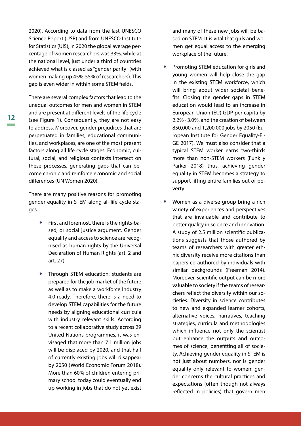2020). According to data from the last UNESCO Science Report (USR) and from UNESCO Institute for Statistics (UIS), in 2020 the global average percentage of women researchers was 33%, while at the national level, just under a third of countries achieved what is classed as "gender parity" (with women making up 45%-55% of researchers). This gap is even wider in within some STEM fields.

There are several complex factors that lead to the unequal outcomes for men and women in STEM and are present at different levels of the life cycle (see Figure 1). Consequently, they are not easy to address. Moreover, gender prejudices that are perpetuated in families, educational communities, and workplaces, are one of the most present factors along all life cycle stages. Economic, cultural, social, and religious contexts intersect on these processes, generating gaps that can become chronic and reinforce economic and social differences (UN Women 2020).

There are many positive reasons for promoting gender equality in STEM along all life cycle stages.

- **•** First and foremost, there is the rights-based, or social justice argument. Gender equality and access to science are recognised as human rights by the Universal Declaration of Human Rights (art. 2 and art. 27).
- **•** Through STEM education, students are prepared for the job market of the future as well as to make a workforce Industry 4.0-ready. Therefore, there is a need to develop STEM capabilities for the future needs by aligning educational curricula with industry relevant skills. According to a recent collaborative study across 29 United Nations programmes, it was envisaged that more than 7.1 million jobs will be displaced by 2020, and that half of currently existing jobs will disappear by 2050 (World Economic Forum 2018). More than 60% of children entering primary school today could eventually end up working in jobs that do not yet exist

and many of these new jobs will be based on STEM. It is vital that girls and women get equal access to the emerging workplace of the future.

- **•** Promoting STEM education for girls and young women will help close the gap in the existing STEM workforce, which will bring about wider societal benefits. Closing the gender gaps in STEM education would lead to an increase in European Union (EU) GDP per capita by 2.2% - 3.0%, and the creation of between 850,000 and 1,200,000 jobs by 2050 (European Institute for Gender Equality-EI-GE 2017). We must also consider that a typical STEM worker earns two-thirds more than non-STEM workers (Funk y Parker 2018) thus, achieving gender equality in STEM becomes a strategy to support lifting entire families out of poverty.
- **•** Women as a diverse group bring a rich variety of experiences and perspectives that are invaluable and contribute to better quality in science and innovation. A study of 2.5 million scientific publications suggests that those authored by teams of researchers with greater ethnic diversity receive more citations than papers co-authored by individuals with similar backgrounds (Freeman 2014). Moreover, scientific output can be more valuable to society if the teams of researchers reflect the diversity within our societies. Diversity in science contributes to new and expanded learner cohorts, alternative voices, narratives, teaching strategies, curricula and methodologies which influence not only the scientist but enhance the outputs and outcomes of science, benefitting all of society. Achieving gender equality in STEM is not just about numbers, nor is gender equality only relevant to women: gender concerns the cultural practices and expectations (often though not always reflected in policies) that govern men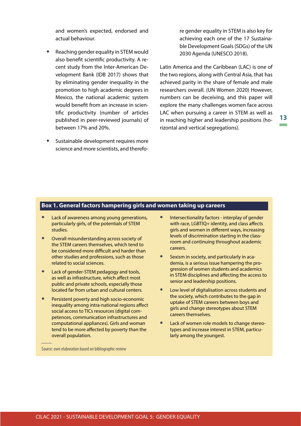and women's expected, endorsed and actual behaviour.

- **•** Reaching gender equality in STEM would also benefit scientific productivity. A recent study from the Inter-American Development Bank (IDB 2017) shows that by eliminating gender inequality in the promotion to high academic degrees in Mexico, the national academic system would benefit from an increase in scientific productivity (number of articles published in peer-reviewed journals) of between 17% and 20%.
- **•** Sustainable development requires more science and more scientists, and therefo-

re gender equality in STEM is also key for achieving each one of the 17 Sustainable Development Goals (SDGs) of the UN 2030 Agenda (UNESCO 2018).

Latin America and the Caribbean (LAC) is one of the two regions, along with Central Asia, that has achieved parity in the share of female and male researchers overall. (UN Women 2020) However, numbers can be deceiving, and this paper will explore the many challenges women face across LAC when pursuing a career in STEM as well as in reaching higher and leadership positions (horizontal and vertical segregations).

#### **Box 1. General factors hampering girls and women taking up careers**

- **•** Lack of awareness among young generations, particularly girls, of the potentials of STEM studies.
- **•** Overall misunderstanding across society of the STEM careers themselves, which tend to be considered more difficult and harder than other studies and professions, such as those related to social sciences.
- **•** Lack of gender-STEM pedagogy and tools, as well as infrastructure, which affect most public and private schools, especially those located far from urban and cultural centers.
- **•** Persistent poverty and high socio-economic inequality among intra-national regions affect social access to TICs resources (digital competences, communication infrastructures and computational appliances). Girls and woman tend to be more affected by poverty than the overall population.
- **•** Intersectionality factors interplay of gender with race, LGBTIQ+ identity, and class affects girls and women in different ways, increasing levels of discrimination starting in the classroom and continuing throughout academic careers.
- **•** Sexism in society, and particularly in academia, is a serious issue hampering the progression of women students and academics in STEM disciplines and affecting the access to senior and leadership positions.
- **•** Low level of digitalisation across students and the society, which contributes to the gap in uptake of STEM careers between boys and girls and change stereotypes about STEM careers themselves.
- **•** Lack of women role models to change stereotypes and increase interest in STEM, particularly among the youngest.

Source: own elaboration based on bibliographic review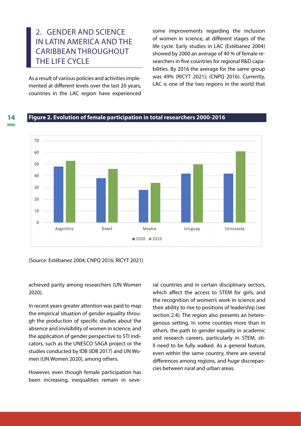## 2. GENDER AND SCIENCE IN LATIN AMERICA AND THE CARIBBEAN THROUGHOUT THE LIFE CYCLE

As a result of various policies and activities implemented at different levels over the last 20 years, countries in the LAC region have experienced

some improvements regarding the inclusion of women in science, at different stages of the life cycle. Early studies in LAC (Estébanez 2004) showed by 2000 an average of 40 % of female researchers in five countries for regional R&D capabilities. By 2016 the average for the same group was 49% (RICYT 2021); (CNPQ 2016). Currently, LAC is one of the two regions in the world that

#### **14**





(Source: Estébanez 2004; CNPQ 2016; RICYT 2021)

achieved parity among researchers (UN Women 2020).

In recent years greater attention was paid to map the empirical situation of gender equality through the production of specific studies about the absence and invisibility of women in science, and the application of gender perspective to STI indicators, such as the UNESCO SAGA project or the studies conducted by IDB (IDB 2017) and UN Women (UN Women 2020), among others.

However, even though female participation has been increasing, inequalities remain in several countries and in certain disciplinary sectors, which affect the access to STEM for girls, and the recognition of women's work in science and their ability to rise to positions of leadership (see section 2.4). The region also presents an heterogenous setting. In some counties more than in others, the path to gender equality in academic and research careers, particularly in STEM, still need to be fully walked. As a general feature, even within the same country, there are several differences among regions, and huge discrepancies between rural and urban areas.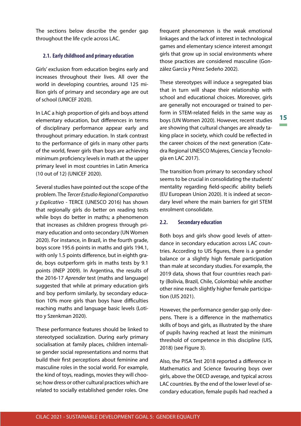The sections below describe the gender gap throughout the life cycle across LAC.

#### **2.1. Early childhood and primary education**

Girls' exclusion from education begins early and increases throughout their lives. All over the world in developing countries, around 125 million girls of primary and secondary age are out of school (UNICEF 2020).

In LAC a high proportion of girls and boys attend elementary education, but differences in terms of disciplinary performance appear early and throughout primary education. In stark contrast to the performance of girls in many other parts of the world, fewer girls than boys are achieving minimum proficiency levels in math at the upper primary level in most countries in Latin America (10 out of 12) (UNICEF 2020).

Several studies have pointed out the scope of the problem. The *Tercer Estudio Regional Comparativo y Explicativo* - TERCE (UNESCO 2016) has shown that regionally girls do better on reading tests while boys do better in maths; a phenomenon that increases as children progress through primary education and onto secondary (UN Women 2020). For instance, in Brazil, in the fourth grade, boys score 195.6 points in maths and girls 194.1, with only 1.5 points difference, but in eighth grade, boys outperform girls in maths tests by 9.1 points (INEP 2009). In Argentina, the results of the 2016-17 *Aprender* test (maths and language) suggested that while at primary education girls and boy perform similarly, by secondary education 10% more girls than boys have difficulties reaching maths and language basic levels (Lotitto y Szenkman 2020).

These performance features should be linked to stereotyped socialization. During early primary socialisation at family places, children internalise gender social representations and norms that build their first perceptions about feminine and masculine roles in the social world. For example, the kind of toys, readings, movies they will choose; how dress or other cultural practices which are related to socially established gender roles. One

frequent phenomenon is the weak emotional linkages and the lack of interest in technological games and elementary science interest amongst girls that grow up in social environments where those practices are considered masculine (González García y Pérez Sedeño 2002).

These stereotypes will induce a segregated bias that in turn will shape their relationship with school and educational choices. Moreover, girls are generally not encouraged or trained to perform in STEM-related fields in the same way as boys (UN Women 2020). However, recent studies are showing that cultural changes are already taking place in society, which could be reflected in the career choices of the next generation (Catedra Regional UNESCO Mujeres, Ciencia y Tecnología en LAC 2017).

The transition from primary to secondary school seems to be crucial in consolidating the students' mentality regarding field-specific ability beliefs (EU European Union 2020). It is indeed at secondary level where the main barriers for girl STEM enrolment consolidate.

#### **2.2. Secondary education**

Both boys and girls show good levels of attendance in secondary education across LAC countries. According to UIS figures, there is a gender balance or a slightly high female participation than male at secondary studies. For example, the 2019 data, shows that four countries reach parity (Bolivia, Brazil, Chile, Colombia) while another other nine reach slightly higher female participation (UIS 2021).

However, the performance gender gap only deepens. There is a difference in the mathematics skills of boys and girls, as illustrated by the share of pupils having reached at least the minimum threshold of competence in this discipline (UIS, 2018) (see Figure 3).

Also, the PISA Test 2018 reported a difference in Mathematics and Science favouring boys over girls, above the OECD average, and typical across LAC countries. By the end of the lower level of secondary education, female pupils had reached a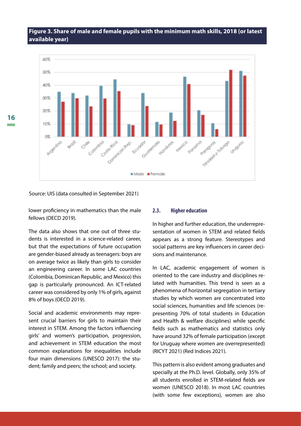#### **Figure 3. Share of male and female pupils with the minimum math skills, 2018 (or latest available year)**



Source: UIS (data consulted in September 2021)

lower proficiency in mathematics than the male fellows (OECD 2019).

The data also shows that one out of three students is interested in a science-related career, but that the expectations of future occupation are gender-biased already as teenagers: boys are on average twice as likely than girls to consider an engineering career. In some LAC countries (Colombia, Dominican Republic, and Mexico) this gap is particularly pronounced. An ICT-related career was considered by only 1% of girls, against 8% of boys (OECD 2019).

Social and academic environments may represent crucial barriers for girls to maintain their interest in STEM. Among the factors influencing girls' and women's participation, progression, and achievement in STEM education the most common explanations for inequalities include four main dimensions (UNESCO 2017): the student; family and peers; the school; and society.

#### **2.3. Higher education**

In higher and further education, the underrepresentation of women in STEM and related fields appears as a strong feature. Stereotypes and social patterns are key influencers in career decisions and maintenance.

In LAC, academic engagement of women is oriented to the care industry and disciplines related with humanities. This trend is seen as a phenomena of horizontal segregation in tertiary studies by which women are concentrated into social sciences, humanities and life sciences (representing 70% of total students in Education and Health & welfare disciplines) while specific fields such as mathematics and statistics only have around 32% of female participation (except for Uruguay where women are overrepresented) (RICYT 2021) (Red Indices 2021).

This pattern is also evident among graduates and specially at the Ph.D. level. Globally, only 35% of all students enrolled in STEM-related fields are women (UNESCO 2018). In most LAC countries (with some few exceptions), women are also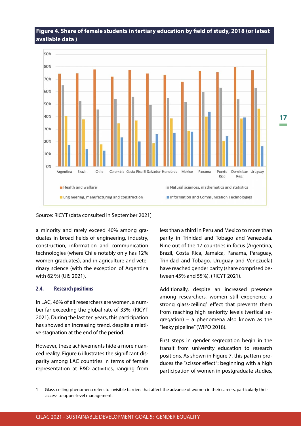#### **Figure 4. Share of female students in tertiary education by field of study, 2018 (or latest available data )**



Source: RICYT (data consulted in September 2021)

a minority and rarely exceed 40% among graduates in broad fields of engineering, industry, construction, information and communication technologies (where Chile notably only has 12% women graduates), and in agriculture and veterinary science (with the exception of Argentina with 62 %) (UIS 2021).

#### **2.4. Research positions**

In LAC, 46% of all researchers are women, a number far exceeding the global rate of 33%. (RICYT 2021). During the last ten years, this participation has showed an increasing trend, despite a relative stagnation at the end of the period.

However, these achievements hide a more nuanced reality. Figure 6 illustrates the significant disparity among LAC countries in terms of female representation at R&D activities, ranging from

less than a third in Peru and Mexico to more than parity in Trinidad and Tobago and Venezuela. Nine out of the 17 countries in focus (Argentina, Brazil, Costa Rica, Jamaica, Panama, Paraguay, Trinidad and Tobago, Uruguay and Venezuela) have reached gender parity (share comprised between 45% and 55%). (RICYT 2021).

Additionally, despite an increased presence among researchers, women still experience a strong glass-ceiling<sup>1</sup> effect that prevents them from reaching high seniority levels (vertical segregation) – a phenomena also known as the "leaky pipeline" (WIPO 2018).

First steps in gender segregation begin in the transit from university education to research positions. As shown in Figure 7, this pattern produces the "scissor effect": beginning with a high participation of women in postgraduate studies,

<sup>1</sup> Glass-ceiling phenomena refers to invisible barriers that affect the advance of women in their careers, particularly their access to upper-level management.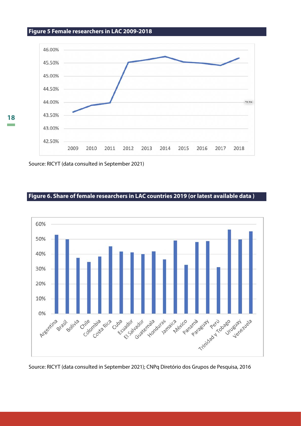#### **Figure 5 Female researchers in LAC 2009-2018**



Source: RICYT (data consulted in September 2021)

#### **Figure 6. Share of female researchers in LAC countries 2019 (or latest available data )**



Source: RICYT (data consulted in September 2021); CNPq Diretório dos Grupos de Pesquisa, 2016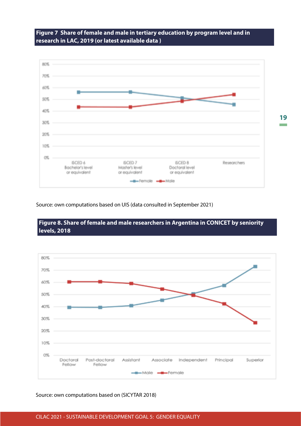



Source: own computations based on UIS (data consulted in September 2021)





Source: own computations based on (SICYTAR 2018)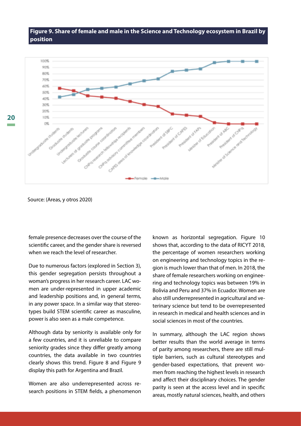



Source: (Areas, y otros 2020)

female presence decreases over the course of the scientific career, and the gender share is reversed when we reach the level of researcher.

Due to numerous factors (explored in Section 3), this gender segregation persists throughout a woman's progress in her research career. LAC women are under-represented in upper academic and leadership positions and, in general terms, in any power space. In a similar way that stereotypes build STEM scientific career as masculine, power is also seen as a male competence.

Although data by seniority is available only for a few countries, and it is unreliable to compare seniority grades since they differ greatly among countries, the data available in two countries clearly shows this trend. Figure 8 and Figure 9 display this path for Argentina and Brazil.

Women are also underrepresented across research positions in STEM fields, a phenomenon known as horizontal segregation. Figure 10 shows that, according to the data of RICYT 2018, the percentage of women researchers working on engineering and technology topics in the region is much lower than that of men. In 2018, the share of female researchers working on engineering and technology topics was between 19% in Bolivia and Peru and 37% in Ecuador. Women are also still underrepresented in agricultural and veterinary science but tend to be overrepresented in research in medical and health sciences and in social sciences in most of the countries.

In summary, although the LAC region shows better results than the world average in terms of parity among researchers, there are still multiple barriers, such as cultural stereotypes and gender-based expectations, that prevent women from reaching the highest levels in research and affect their disciplinary choices. The gender parity is seen at the access level and in specific areas, mostly natural sciences, health, and others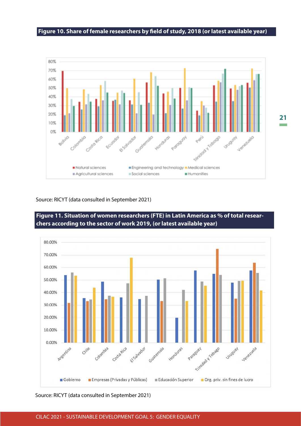#### **Figure 10. Share of female researchers by field of study, 2018 (or latest available year)**



Source: RICYT (data consulted in September 2021)



**Figure 11. Situation of women researchers (FTE) in Latin America as % of total researchers according to the sector of work 2019, (or latest available year)**

Source: RICYT (data consulted in September 2021)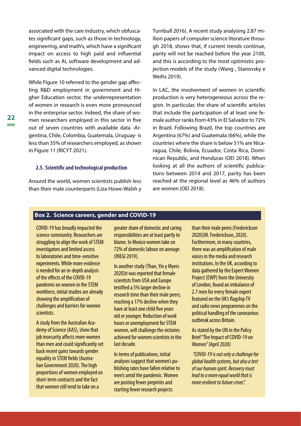associated with the care industry, which obfuscates significant gaps, such as those in technology, engineering, and math's, which have a significant impact on access to high paid and influential fields such as AI, software development and advanced digital technologies.

While Figure 10 referred to the gender gap affecting R&D employment in government and Higher Education sector, the underrepresentation of women in research is even more pronounced in the enterprise sector. Indeed, the share of women researchers employed in this sector in five out of seven countries with available data -Argentina, Chile, Colombia, Guatemala, Uruguay- is less than 35% of researchers employed, as shown in Figure 11 (RICYT 2021).

#### **2.5. Scientific and technological production**

Around the world, women scientists publish less than their male counterparts (Liza Howe-Walsh y Turnbull 2016). A recent study analysing 2.87 million papers of computer science literature through 2018, shows that, if current trends continue, parity will not be reached before the year 2100, and this is according to the most optimistic projection models of the study (Wang , Stanovsky e Weihs 2019).

In LAC, the involvement of women in scientific production is very heterogeneous across the region. In particular, the share of scientific articles that include the participation of at least one female author ranks from 43% in El Salvador to 72% in Brazil. Following Brazil, the top countries are Argentina (67%) and Guatemala (66%), while the countries where the share is below 51% are Nicaragua, Chile, Bolivia, Ecuador, Costa Rica, Dominican Republic, and Honduras (OEI 2018). When looking at all the authors of scientific publications between 2014 and 2017, parity has been reached at the regional level as 46% of authors are women (OEI 2018).

#### **Box 2. Science careers, gender and COVID-19**

COVID-19 has broadly impacted the science community. Researchers are struggling to align the work of STEM investigators and limited access to laboratories and time-sensitive experiments. While more evidence is needed for an in-depth analysis of the effects of the COVID-19 pandemic on women in the STEM workforce, initial studies are already showing the amplification of challenges and barriers for women scientists.

A study from the Australian Academy of Science (AAS), show that job insecurity affects more women than men and could significantly set back recent gains towards gender equality in STEM fields (Australian Government 2020). The high proportions of women employed on short-term contracts and the fact that women still tend to take on a

greater share of domestic and caring responsibilities are at least partly to blame. In Mexico women take on 72% of domestic labour on average (INEGI 2019).

In another study (Than, Yin y Myers 2020)it was reported that female scientists from USA and Europe testified a 5% larger decline in research time than their male peers, reaching a 17% decline when they have at least one child five years old or younger. Reduction of work hours or unemployment for STEM women, will challenge the victories achieved for women scientists in the last decade.

In terms of publications, initial analyses suggest that women's publishing rates have fallen relative to men's amid the pandemic. Women are posting fewer preprints and starting fewer research projects

than their male peers (Frederickson 2020)(M. Frederickson, 2020). Furthermore, in many countries, there was an amplification of male voices in the media and research institutions. In the UK, according to data gathered by the Expert Women Project (EWP) from the University of London, found an imbalance of 2.7 men for every female expert featured on the UK's flagship TV and radio news programmes on the political handling of the coronavirus outbreak across Britain.

As stated by the UN in the Policy Brief "The Impact of COVID-19 on Women" (April 2020)

*"COVID-19 is not only a challenge for global health systems, but also a test of our human spirit. Recovery must lead to a more equal world that is more resilient to future crises".*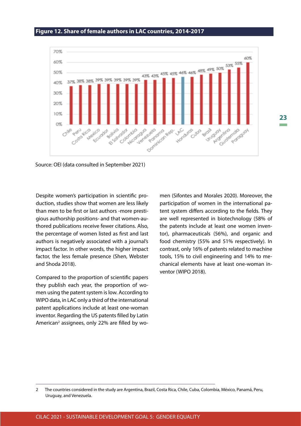#### **Figure 12. Share of female authors in LAC countries, 2014-2017**



Source: OEI (data consulted in September 2021)

Despite women's participation in scientific production, studies show that women are less likely than men to be first or last authors -more prestigious authorship positions- and that women-authored publications receive fewer citations. Also, the percentage of women listed as first and last authors is negatively associated with a journal's impact factor. In other words, the higher impact factor, the less female presence (Shen, Webster and Shoda 2018).

Compared to the proportion of scientific papers they publish each year, the proportion of women using the patent system is low. According to WIPO data, in LAC only a third of the international patent applications include at least one-woman inventor. Regarding the US patents filled by Latin American<sup>2</sup> assignees, only 22% are filled by women (Sifontes and Morales 2020). Moreover, the participation of women in the international patent system differs according to the fields. They are well represented in biotechnology (58% of the patents include at least one women inventor), pharmaceuticals (56%), and organic and food chemistry (55% and 51% respectively). In contrast, only 16% of patents related to machine tools, 15% to civil engineering and 14% to mechanical elements have at least one-woman inventor (WIPO 2018).

<sup>2</sup> The countries considered in the study are Argentina, Brazil, Costa Rica, Chile, Cuba, Colombia, México, Panamá, Peru, Uruguay, and Venezuela.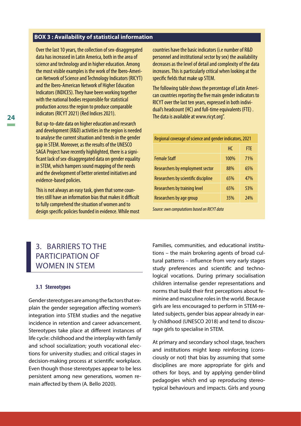#### **BOX 3 : Availability of statistical information**

Over the last 10 years, the collection of sex-disaggregated data has increased in Latin America, both in the area of science and technology and in higher education. Among the most visible examples is the work of the Ibero-American Network of Science and Technology Indicators (RICYT) and the Ibero-American Network of Higher Education Indicators (INDICES). They have been working together with the national bodies responsible for statistical production across the region to produce comparable indicators (RICYT 2021) (Red Indices 2021).

But up-to-date data on higher education and research and development (R&D) activities in the region is needed to analyse the current situation and trends in the gender gap in STEM. Moreover, as the results of the UNESCO SAGA Project have recently highlighted, there is a significant lack of sex-disaggregated data on gender equality in STEM, which hampers sound mapping of the needs and the development of better oriented initiatives and evidence-based policies.

This is not always an easy task, given that some countries still have an information bias that makes it difficult to fully comprehend the situation of women and to design specific policies founded in evidence. While most countries have the basic indicators (i.e number of R&D personnel and institutional sector by sex) the availability decreases as the level of detail and complexity of the data increases. This is particularly critical when looking at the specific fields that make up STEM.

The following table shows the percentage of Latin American countries reporting the five main gender indicators to RICYT over the last ten years, expressed in both individual's headcount (HC) and full-time equivalents (FTE) . The data is available at www.ricyt.org".

| Regional coverage of science and gender indicators, 2021 |      |            |  |  |
|----------------------------------------------------------|------|------------|--|--|
|                                                          | НC   | FTF        |  |  |
| <b>Female Staff</b>                                      | 100% | 71%        |  |  |
| Researchers by employment sector                         | 88%  | 65%        |  |  |
| Researchers by scientific discipline                     | 65%  | 47%        |  |  |
| <b>Researchers by training level</b>                     | 65%  | 53%        |  |  |
| Researchers by age group                                 | 35%  | <b>24%</b> |  |  |

*Source: own computations based on RICYT data*

## 3. BARRIERS TO THE PARTICIPATION OF WOMEN IN STEM

#### **3.1 Stereotypes**

Gender stereotypes are among the factors that explain the gender segregation affecting women's integration into STEM studies and the negative incidence in retention and career advancement. Stereotypes take place at different instances of life cycle: childhood and the interplay with family and school socialization; youth vocational elections for university studies; and critical stages in decision-making process at scientific workplace. Even though those stereotypes appear to be less persistent among new generations, women remain affected by them (A. Bello 2020).

Families, communities, and educational institutions – the main brokering agents of broad cultural patterns – influence from very early stages study preferences and scientific and technological vocations. During primary socialisation children internalise gender representations and norms that build their first perceptions about feminine and masculine roles in the world. Because girls are less encouraged to perform in STEM-related subjects, gender bias appear already in early childhood (UNESCO 2018) and tend to discourage girls to specialise in STEM.

At primary and secondary school stage, teachers and institutions might keep reinforcing (consciously or not) that bias by assuming that some disciplines are more appropriate for girls and others for boys, and by applying gender-blind pedagogies which end up reproducing stereotypical behaviours and impacts. Girls and young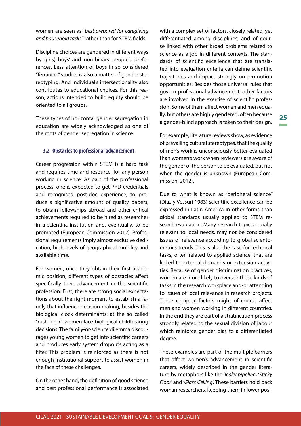women are seen as *"best prepared for caregiving and household tasks"* rather than for STEM fields.

Discipline choices are gendered in different ways by girls', boys' and non-binary people's preferences. Less attention of boys in so considered "feminine" studies is also a matter of gender stereotyping. And individual's intersectionality also contributes to educational choices. For this reason, actions intended to build equity should be oriented to all groups.

These types of horizontal gender segregation in education are widely acknowledged as one of the roots of gender segregation in science.

#### **3.2 Obstacles to professional advancement**

Career progression within STEM is a hard task and requires time and resource, for any person working in science. As part of the professional process, one is expected to get PhD credentials and recognised post-doc experience, to produce a significative amount of quality papers, to obtain fellowships abroad and other critical achievements required to be hired as researcher in a scientific institution and, eventually, to be promoted (European Commission 2012). Professional requirements imply almost exclusive dedication, high levels of geographical mobility and available time.

For women, once they obtain their first academic position, different types of obstacles affect specifically their advancement in the scientific profession. First, there are strong social expectations about the right moment to establish a family that influence decision-making, besides the biological clock determinants: at the so called "rush hour", women face biological childbearing decisions. The family-or-science dilemma discourages young women to get into scientific careers and produces early system dropouts acting as a filter. This problem is reinforced as there is not enough institutional support to assist women in the face of these challenges.

On the other hand, the definition of good science and best professional performance is associated with a complex set of factors, closely related, yet differentiated among disciplines, and of course linked with other broad problems related to science as a job in different contexts. The standards of scientific excellence that are translated into evaluation criteria can define scientific trajectories and impact strongly on promotion opportunities. Besides those universal rules that govern professional advancement, other factors are involved in the exercise of scientific profession. Some of them affect women and men equally, but others are highly gendered, often because a gender-blind approach is taken to their design.

For example, literature reviews show, as evidence of prevailing cultural stereotypes, that the quality of men's work is unconsciously better evaluated than women's work when reviewers are aware of the gender of the person to be evaluated, but not when the gender is unknown (European Commission, 2012).

Due to what is known as "peripheral science" (Diaz y Vessuri 1983) scientific excellence can be expressed in Latin America in other forms than global standards usually applied to STEM research evaluation. Many research topics, socially relevant to local needs, may not be considered issues of relevance according to global scientometrics trends. This is also the case for technical tasks, often related to applied science, that are linked to external demands or extension activities. Because of gender discrimination practices, women are more likely to oversee these kinds of tasks in the research workplace and/or attending to issues of local relevance in research projects. These complex factors might of course affect men and women working in different countries. In the end they are part of a stratification process strongly related to the sexual division of labour which reinforce gender bias to a differentiated degree.

These examples are part of the multiple barriers that affect women's advancement in scientific careers, widely described in the gender literature by metaphors like the '*leaky pipeline*', '*Sticky Floor*' and '*Glass Ceiling*'. These barriers hold back woman researchers, keeping them in lower posi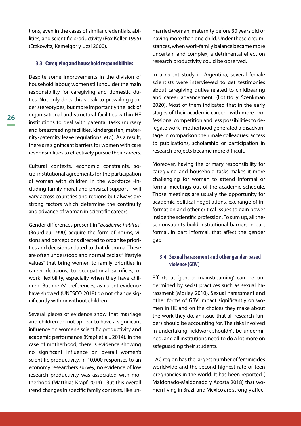tions, even in the cases of similar credentials, abilities, and scientific productivity (Fox Keller 1995) (Etzkowitz, Kemelgor y Uzzi 2000).

#### **3.3 Caregiving and household responsibilities**

Despite some improvements in the division of household labour, women still shoulder the main responsibility for caregiving and domestic duties. Not only does this speak to prevailing gender stereotypes, but more importantly the lack of organisational and structural facilities within HE institutions to deal with parental tasks (nursery and breastfeeding facilities, kindergarten, maternity/paternity leave regulations, etc.). As a result, there are significant barriers for women with care responsibilities to effectively pursue their careers.

Cultural contexts, economic constraints, socio-institutional agreements for the participation of woman with children in the workforce -including family moral and physical support - will vary across countries and regions but always are strong factors which determine the continuity and advance of woman in scientific careers.

Gender differences present in "*academic habitus*" (Bourdieu 1990) acquire the form of norms, visions and perceptions directed to organise priorities and decisions related to that dilemma. These are often understood and normalized as "lifestyle values" that bring women to family priorities in career decisions, to occupational sacrifices, or work flexibility, especially when they have children. But men's' preferences, as recent evidence have showed (UNESCO 2018) do not change significantly with or without children.

Several pieces of evidence show that marriage and children do not appear to have a significant influence on women's scientific productivity and academic performance (Krapf et al., 2014). In the case of motherhood, there is evidence showing no significant influence on overall women's scientific productivity. In 10.000 responses to an economy researchers survey, no evidence of low research productivity was associated with motherhood (Matthias Krapf 2014) . But this overall trend changes in specific family contexts, like unmarried woman, maternity before 30 years old or having more than one child. Under these circumstances, when work-family balance became more uncertain and complex, a detrimental effect on research productivity could be observed.

In a recent study in Argentina, several female scientists were interviewed to get testimonies about caregiving duties related to childbearing and career advancement. (Lotitto y Szenkman 2020). Most of them indicated that in the early stages of their academic career - with more professional competition and less possibilities to delegate work- motherhood generated a disadvantage in comparison their male colleagues: access to publications, scholarship or participation in research projects became more difficult.

Moreover, having the primary responsibility for caregiving and household tasks makes it more challenging for woman to attend informal or formal meetings out of the academic schedule. Those meetings are usually the opportunity for academic political negotiations, exchange of information and other critical issues to gain power inside the scientific profession. To sum up, all these constraints build institutional barriers in part formal, in part informal, that affect the gender gap

#### **3.4 Sexual harassment and other gender-based violence (GBV)**

Efforts at 'gender mainstreaming' can be undermined by sexist practices such as sexual harassment (Morley 2010). Sexual harassment and other forms of GBV impact significantly on women in HE and on the choices they make about the work they do, an issue that all research funders should be accounting for. The risks involved in undertaking fieldwork shouldn't be undermined, and all institutions need to do a lot more on safeguarding their students.

LAC region has the largest number of feminicides worldwide and the second highest rate of teen pregnancies in the world. It has been reported ( Maldonado-Maldonado y Acosta 2018) that women living in Brazil and Mexico are strongly affec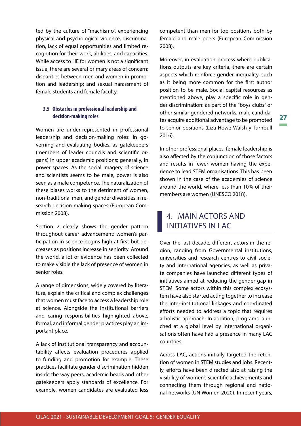ted by the culture of "machismo", experiencing physical and psychological violence, discrimination, lack of equal opportunities and limited recognition for their work, abilities, and capacities. While access to HE for women is not a significant issue, there are several primary areas of concern: disparities between men and women in promotion and leadership; and sexual harassment of female students and female faculty.

#### **3.5 Obstacles in professional leadership and decision-making roles**

Women are under-represented in professional leadership and decision-making roles: in governing and evaluating bodies, as gatekeepers (members of leader councils and scientific organs) in upper academic positions; generally, in power spaces. As the social imagery of science and scientists seems to be male, power is also seen as a male competence. The naturalization of these biases works to the detriment of women, non-traditional men, and gender diversities in research decision-making spaces (European Commission 2008).

Section 2 clearly shows the gender pattern throughout career advancement: women's participation in science begins high at first but decreases as positions increase in seniority. Around the world, a lot of evidence has been collected to make visible the lack of presence of women in senior roles.

A range of dimensions, widely covered by literature, explain the critical and complex challenges that women must face to access a leadership role at science. Alongside the institutional barriers and caring responsibilities highlighted above, formal, and informal gender practices play an important place.

A lack of institutional transparency and accountability affects evaluation procedures applied to funding and promotion for example. These practices facilitate gender discrimination hidden inside the way peers, academic heads and other gatekeepers apply standards of excellence. For example, women candidates are evaluated less competent than men for top positions both by female and male peers (European Commission 2008).

Moreover, in evaluation process where publications outputs are key criteria, there are certain aspects which reinforce gender inequality, such as it being more common for the first author position to be male. Social capital resources as mentioned above, play a specific role in gender discrimination: as part of the "boys clubs" or other similar gendered networks, male candidates acquire additional advantage to be promoted to senior positions (Liza Howe-Walsh y Turnbull 2016).

In other professional places, female leadership is also affected by the conjunction of those factors and results in fewer women having the experience to lead STEM organisations. This has been shown in the case of the academies of science around the world, where less than 10% of their members are women (UNESCO 2018).

## 4. MAIN ACTORS AND INITIATIVES IN LAC

Over the last decade, different actors in the region, ranging from Governmental institutions, universities and research centres to civil society and international agencies, as well as private companies have launched different types of initiatives aimed at reducing the gender gap in STEM. Some actors within this complex ecosystem have also started acting together to increase the inter-institutional linkages and coordinated efforts needed to address a topic that requires a holistic approach. In addition, programs launched at a global level by international organisations often have had a presence in many LAC countries.

Across LAC, actions initially targeted the retention of women in STEM studies and jobs. Recently, efforts have been directed also at raising the visibility of women's scientific achievements and connecting them through regional and national networks (UN Women 2020). In recent years,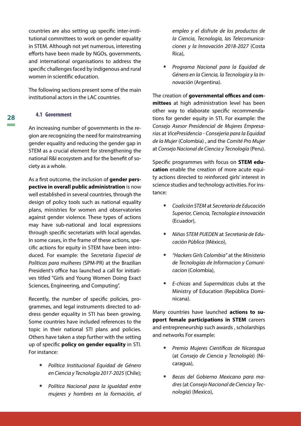countries are also setting up specific inter-institutional committees to work on gender equality in STEM. Although not yet numerous, interesting efforts have been made by NGOs, governments, and international organisations to address the specific challenges faced by indigenous and rural women in scientific education.

The following sections present some of the main institutional actors in the LAC countries.

#### **4.1 Government**

An increasing number of governments in the region are recognizing the need for mainstreaming gender equality and reducing the gender gap in STEM as a crucial element for strengthening the national R&I ecosystem and for the benefit of society as a whole.

As a first outcome, the inclusion of **gender perspective in overall public administration** is now well established in several countries, through the design of policy tools such as national equality plans, ministries for women and observatories against gender violence. These types of actions may have sub-national and local expressions through specific secretariats with local agendas. In some cases, in the frame of these actions, specific actions for equity in STEM have been introduced. For example: the *Secretaria Especial de Políticas para mulheres* (SPM-PR) at the Brazilian President's office has launched a call for initiatives titled "Girls and Young Women Doing Exact Sciences, Engineering, and Computing".

Recently, the number of specific policies, programmes, and legal instruments directed to address gender equality in STI has been growing. Some countries have included references to the topic in their national STI plans and policies. Others have taken a step further with the setting up of specific **policy on gender equality** in STI. For instance:

- **•** *Política Institucional Equidad de Género en Ciencia y Tecnología 2017-2025* (Chile);
- **•** *Política Nacional para la igualdad entre mujeres y hombres en la formación, el*

*empleo y el disfrute de los productos de la Ciencia, Tecnología, las Telecomunicaciones y la Innovación 2018-2027* (Costa Rica),

**•** *Programa Nacional para la Equidad de Género en la Ciencia, la Tecnología y la Innovación* (Argentina).

The creation of **governmental offices and committees** at high administration level has been other way to elaborate specific recommendations for gender equity in STI. For example: the *Consejo Asesor Presidencial de Mujeres Empresarias* at *VicePresidencia - Consejería para la Equidad de la Mujer* (Colombia) , and the *Comité Pro Mujer* at *Consejo Nacional de Ciencia y Tecnología* (Peru).

Specific programmes with focus on **STEM education** enable the creation of more acute equity actions directed to reinforced girls' interest in science studies and technology activities. For instance:

- **•** *Coalición STEM* at *Secretaría de Educación Superior, Ciencia, Tecnología e Innovación* (Ecuador),
- **•** *Niñas STEM PUEDEN* at *Secretaría de Educación Pública* (México),
- **•** *"Hackers Girls Colombia"* at the *Ministerio de Tecnologías de Informacion y Comunicacion* (Colombia),
- **•** *E-chicas* and *Supermáticas* clubs at the Ministry of Education (República Dominicana).

Many countries have launched **actions to support female participations in STEM** careers and entrepreneurship such awards , scholarships and networks For example:

- **•** *Premio Mujeres Científicas de Nicaragua* (at *Consejo de Ciencia y Tecnología*) (Nicaragua),
- **•** *Becas del Gobierno Mexicano para madres* (at *Consejo Nacional de Ciencia y Tecnología*) (Mexico),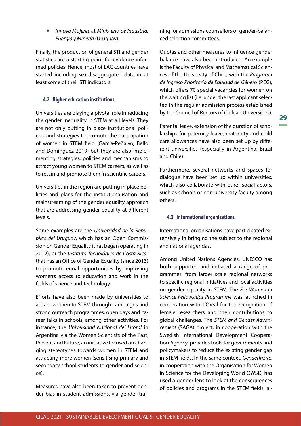Finally, the production of general STI and gender statistics are a starting point for evidence-informed policies. Hence, most of LAC countries have started including sex-disaggregated data in at least some of their STI indicators.

#### **4.2 Higher education institutions**

Universities are playing a pivotal role in reducing the gender inequality in STEM at all levels. They are not only putting in place institutional policies and strategies to promote the participation of women in STEM field (García-Peñalvo, Bello and Domínguez 2019) but they are also implementing strategies, policies and mechanisms to attract young women to STEM careers, as well as to retain and promote them in scientific careers.

Universities in the region are putting in place policies and plans for the institutionalisation and mainstreaming of the gender equality approach that are addressing gender equality at different levels.

Some examples are the *Universidad de la República del Uruguay*, which has an Open Commission on Gender Equality (that began operating in 2012), or the *Instituto Tecnológico de Costa Rica*that has an Office of Gender Equality (since 2013) to promote equal opportunities by improving women's access to education and work in the fields of science and technology.

Efforts have also been made by universities to attract women to STEM through campaigns and strong outreach programmes, open days and career talks in schools, among other activities. For instance, the *Universidad Nacional del Litoral* in Argentina via the Women Scientists of the Past, Present and Future, an initiative focused on changing stereotypes towards women in STEM and attracting more women (sensitising primary and secondary school students to gender and science).

Measures have also been taken to prevent gender bias in student admissions, via gender training for admissions counsellors or gender-balanced selection committees.

Quotas and other measures to influence gender balance have also been introduced. An example is the Faculty of Physical and Mathematical Sciences of the University of Chile, with the *Programa de Ingreso Prioritario de Equidad de Género* (PEG), which offers 70 special vacancies for women on the waiting list (i.e. under the last applicant selected in the regular admission process established by the Council of Rectors of Chilean Universities).

Parental leave, extension of the duration of scholarships for paternity leave, maternity and child care allowances have also been set up by different universities (especially in Argentina, Brazil and Chile).

Furthermore, several networks and spaces for dialogue have been set up within universities, which also collaborate with other social actors, such as schools or non-university faculty among others.

#### **4.3 International organizations**

International organisations have participated extensively in bringing the subject to the regional and national agendas.

Among United Nations Agencies, UNESCO has both supported and initiated a range of programmes, from larger scale regional networks to specific regional initiatives and local activities on gender equality in STEM. The *For Women in Science Fellowships Programme* was launched in cooperation with L'Oréal for the recognition of female researchers and their contributions to global challenges. The *STEM and Gender Advancement* (SAGA) project, in cooperation with the Swedish International Development Cooperation Agency, provides tools for governments and policymakers to reduce the existing gender gap in STEM fields. In the same context, *GenderInSite,* in cooperation with the Organisation for Women in Science for the Developing World OWSD, has used a gender lens to look at the consequences of policies and programs in the STEM fields, ai-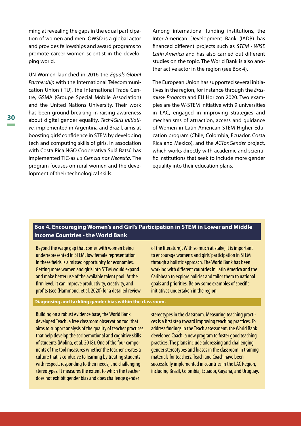ming at revealing the gaps in the equal participation of women and men. OWSD is a global actor and provides fellowships and award programs to promote career women scientist in the developing world.

UN Women launched in 2016 the *Equals Global Partnership* with the International Telecommunication Union (ITU), the International Trade Centre, GSMA (Groupe Special Mobile Association) and the United Nations University. Their work has been ground-breaking in raising awareness about digital gender equality. *Tech4Girls initiative*, implemented in Argentina and Brazil, aims at boosting girls' confidence in STEM by developing tech and computing skills of girls. In association with Costa Rica NGO Cooperativa Sulá Batsú has implemented TIC-as *La Ciencia nos Necesita*. The program focuses on rural women and the development of their technological skills.

Among international funding institutions, the Inter-American Development Bank (IADB) has financed different projects such as *STEM - WISE Latin America* and has also carried out different studies on the topic. The World Bank is also another active actor in the region (see Box 4).

The European Union has supported several initiatives in the region, for instance through the *Erasmus+ Program* and EU Horizon 2020. Two examples are the W-STEM initiative with 9 universities in LAC, engaged in improving strategies and mechanisms of attraction, access and guidance of Women in Latin-American STEM Higher Education program (Chile, Colombia, Ecuador, Costa Rica and Mexico), and the *ACTonGender* project, which works directly with academic and scientific institutions that seek to include more gender equality into their education plans.

#### **Box 4. Encouraging Women's and Girl's Participation in STEM in Lower and Middle Income Countries - the World Bank**

Beyond the wage gap that comes with women being underrepresented in STEM, low female representation in these fields is a missed opportunity for economies. Getting more women and girls into STEM would expand and make better use of the available talent pool. At the firm level, it can improve productivity, creativity, and profits (see (Hammond, et al. 2020) for a detailed review of the literature). With so much at stake, it is important to encourage women's and girls' participation in STEM through a holistic approach. The World Bank has been working with different countries in Latin America and the Caribbean to explore policies and tailor them to national goals and priorities. Below some examples of specific initiatives undertaken in the region.

#### **Diagnosing and tackling gender bias within the classroom.**

Building on a robust evidence base, the World Bank developed Teach, a free classroom observation tool that aims to support analysis of the quality of teacher practices that help develop the socioemotional and cognitive skills of students (Molina, et al. 2018). One of the four components of the tool measures whether the teacher creates a culture that is conducive to learning by treating students with respect, responding to their needs, and challenging stereotypes. It measures the extent to which the teacher does not exhibit gender bias and does challenge gender

stereotypes in the classroom. Measuring teaching practices is a first step toward improving teaching practices. To address findings in the Teach assessment, the World Bank developed Coach, a new program to foster good teaching practices. The plans include addressing and challenging gender stereotypes and biases in the classroom in training materials for teachers. Teach and Coach have been successfully implemented in countries in the LAC Region, including Brazil, Colombia, Ecuador, Guyana, and Uruguay.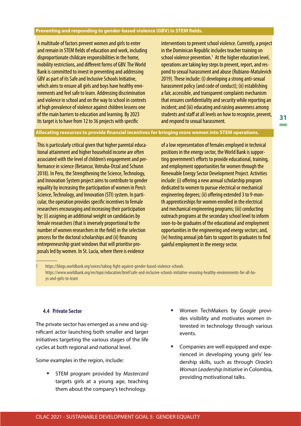#### **Preventing and responding to gender-based violence (GBV) in STEM fields.**

A multitude of factors prevent women and girls to enter and remain in STEM fields of education and work, including disproportionate childcare responsibilities in the home, mobility restrictions, and different forms of GBV. The World Bank is committed to invest in preventing and addressing GBV as part of its Safe and Inclusive Schools Initiative, which aims to ensure all girls and boys have healthy environments and feel safe to learn. Addressing discrimination and violence in school and on the way to school in contexts of high prevalence of violence against children lessens one of the main barriers to education and learning. By 2023 its target is to have from 12 to 36 projects with specific

interventions to prevent school violence. Currently, a project in the Dominican Republic includes teacher training on school violence prevention.<sup>1</sup> At the higher education level, operations are taking key steps to prevent, report, and respond to sexual harassment and abuse (Rubiano-Matulevich 2019). These include: (i) developing a strong anti-sexual harassment policy (and code of conduct); (ii) establishing a fair, accessible, and transparent complaints mechanism that ensures confidentiality and security while reporting an incident; and (iii) educating and raising awareness among students and staff at all levels on how to recognise, prevent, and respond to sexual harassment.

#### **Allocating resources to provide financial incentives for bringing more women into STEM operations.**

This is particularly critical given that higher parental educational attainment and higher household income are often associated with the level of children's engagement and performance in science (Betancur, Votruba-Drzal and Schunn 2018). In Peru, the Strengthening the Science, Technology, and Innovation System project aims to contribute to gender equality by increasing the participation of women in Peru's Science, Technology, and Innovation (STI) system. In particular, the operation provides specific incentives to female researchers encouraging and increasing their participation by: (i) assigning an additional weight on candidacies by female researchers (that is inversely proportional to the number of women researchers in the field) in the selection process for the doctoral scholarships and (ii) financing entrepreneurship grant windows that will prioritise proposals led by women. In St. Lucia, where there is evidence

of a low representation of females employed in technical positions in the energy sector, the World Bank is supporting government's efforts to provide educational, training, and employment opportunities for women through the Renewable Energy Sector Development Project. Activities include: (i) offering a new annual scholarship program dedicated to women to pursue electrical or mechanical engineering degrees; (ii) offering extended 3 to 9-month apprenticeships for women enrolled in the electrical and mechanical engineering programs; (iii) conducting outreach programs at the secondary school level to inform soon-to-be graduates of the educational and employment opportunities in the engineering and energy sectors; and, (iv) hosting annual job fairs to support its graduates to find gainful employment in the energy sector.

1 https://blogs.worldbank.org/voices/taking-fight-against-gender-based-violence-schools https://www.worldbank.org/en/topic/education/brief/safe-and-inclusive-schools-initiative-ensuring-healthy-environments-for-all-boys-and-girls-to-learn

#### **4.4 Private Sector**

The private sector has emerged as a new and significant actor launching both smaller and larger initiatives targeting the various stages of the life cycles at both regional and national level.

Some examples in the region, include:

- **•** STEM program provided by *Mastercard* targets girls at a young age, teaching them about the company's technology.
- **•** Women TechMakers by *Google* provides visibility and motivates women interested in technology through various events.
- **•** Companies are well equipped and experienced in developing young girls' leadership skills, such as through *Oracle's Woman Leadership Initiative* in Colombia, providing motivational talks.

**31**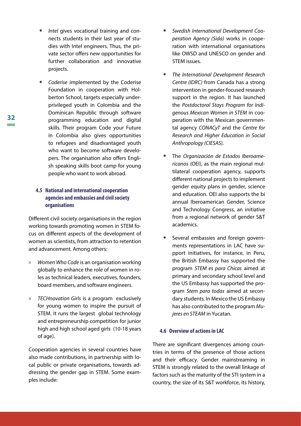- **•** *Intel* gives vocational training and connects students in their last year of studies with Intel engineers. Thus, the private sector offers new opportunities for further collaboration and innovative projects.
- **•** *Coderise* implemented by the Coderise Foundation in cooperation with Holberton School, targets especially underprivileged youth in Colombia and the Dominican Republic through software programming education and digital skills. Their program Code your Future in Colombia also gives opportunities to refugees and disadvantaged youth who want to become software developers. The organisation also offers English speaking skills boot camp for young people who want to work abroad.

#### **4.5 National and international cooperation agencies and embassies and civil society organisations**

Different civil society organisations in the region working towards promoting women in STEM focus on different aspects of the development of women as scientists, from attraction to retention and advancement. Among others:

- » *Women Who Code* is an organisation working globally to enhance the role of women in roles as technical leaders, executives, founders, board members, and software engineers.
- » *TECHnovation Girls* is a program exclusively for young women to inspire the pursuit of STEM. It runs the largest global technology and entrepreneurship competition for junior high and high school aged girls (10-18 years of age).

Cooperation agencies in several countries have also made contributions, in partnership with local public or private organisations, towards addressing the gender gap in STEM. Some examples include:

- **•** *Swedish International Development Cooperation Agency (Sida)* works in cooperation with international organisations like OWSD and UNESCO on gender and STEM issues.
- **•** *The International Development Research Centre (IDRC)* from Canada has a strong intervention in gender-focused research support in the region. It has launched the *Postdoctoral Stays Program for Indigenous Mexican Women in STEM* in cooperation with the Mexican governmental agency *CONACyT* and the *Centre for Research and Higher Education in Social Anthropology (CIESAS).*
- **•** The *Organización de Estados Iberoamericanos* (OEI), as the main regional multilateral cooperation agency, supports different national projects to implement gender equity plans in gender, science and education. OEI also supports the bi annual Iberoamerican Gender, Science and Technology Congress, an initiative from a regional network of gender S&T academics.
- **•** Several embassies and foreign governments representations in LAC have support initiatives, for instance, in Peru, the British Embassy has supported the program *STEM es para Chicas* aimed at primary and secondary school level and the US Embassy has supported the program *Stem para todas* aimed at secondary students. In Mexico the US Embassy has also contributed to the program *Mujeres en STEAM* in Yucatan.

#### **4.6 Overview of actions in LAC**

There are significant divergences among countries in terms of the presence of those actions and their efficacy. Gender mainstreaming in STEM is strongly related to the overall linkage of factors such as the maturity of the STI system in a country, the size of its S&T workforce, its history,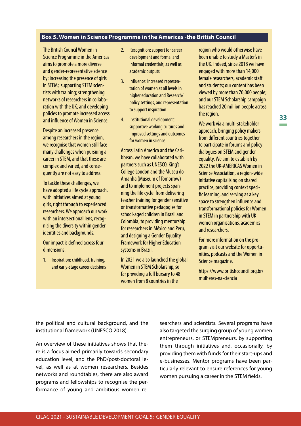#### **Box 5. Women in Science Programme in the Americas -the British Council**

The British Council Women in Science Programme in the Americas aims to promote a more diverse and gender-representative science by: increasing the presence of girls in STEM; supporting STEM scientists with training; strengthening networks of researchers in collaboration with the UK; and developing policies to promote increased access and influence of Women in Science.

Despite an increased presence among researchers in the region, we recognise that women still face many challenges when pursuing a career in STEM, and that these are complex and varied, and consequently are not easy to address.

To tackle these challenges, we have adopted a life cycle approach, with initiatives aimed at young girls, right through to experienced researchers. We approach our work with an intersectional lens, recognising the diversity within gender identities and backgrounds.

Our impact is defined across four dimensions:

1. Inspiration: childhood, training, and early-stage career decisions

- 2. Recognition: support for career development and formal and informal credentials, as well as academic outputs
- 3. Influence: increased representation of women at all levels in higher education and Research/ policy settings, and representation to support inspiration
- 4. Institutional development: supportive working cultures and improved settings and outcomes for women in science.

Across Latin America and the Caribbean, we have collaborated with partners such as UNESCO, King's College London and the Museu do Amanhã (Museum of Tomorrow) and to implement projects spanning the life cycle: from delivering teacher training for gender sensitive or transformative pedagogies for school-aged children in Brazil and Colombia, to providing mentorship for researchers in México and Perú, and designing a Gender Equality Framework for Higher Education systems in Brazil.

In 2021 we also launched the global Women in STEM Scholarship, so far providing a full bursary to 48 women from 8 countries in the

region who would otherwise have been unable to study a Master's in the UK. Indeed, since 2018 we have engaged with more than 14,000 female researchers, academic staff and students; our content has been viewed by more than 70,000 people; and our STEM Scholarship campaign has reached 20 million people across the region.

We work via a multi-stakeholder approach, bringing policy makers from different countries together to participate in forums and policy dialogues on STEM and gender equality. We aim to establish by 2022 the UK-AMERICAS Women in Science Association, a region-wide initiative capitalising on shared practice, providing context specific learning, and serving as a key space to strengthen influence and transformational policies for Women in STEM in partnership with UK women organisations, academics and researchers.

For more information on the program visit our website for opportunities, podcasts and the Women in Science magazine.

https://www.britishcouncil.org.br/ mulheres-na-ciencia

the political and cultural background, and the institutional framework (UNESCO 2018).

An overview of these initiatives shows that there is a focus aimed primarily towards secondary education level, and the PhD/post-doctoral level, as well as at women researchers. Besides networks and roundtables, there are also award programs and fellowships to recognise the performance of young and ambitious women researchers and scientists. Several programs have also targeted the surging group of young women entrepreneurs, or STEMpreneurs, by supporting them through initiatives and, occasionally, by providing them with funds for their start-ups and e-businesses. Mentor programs have been particularly relevant to ensure references for young women pursuing a career in the STEM fields.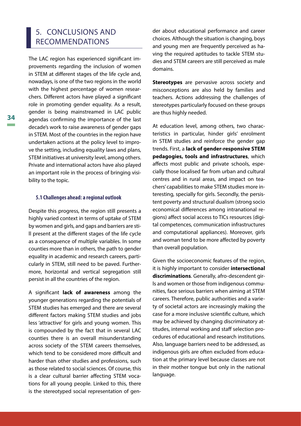## 5. CONCLUSIONS AND RECOMMENDATIONS

The LAC region has experienced significant improvements regarding the inclusion of women in STEM at different stages of the life cycle and, nowadays, is one of the two regions in the world with the highest percentage of women researchers. Different actors have played a significant role in promoting gender equality. As a result, gender is being mainstreamed in LAC public agendas confirming the importance of the last decade's work to raise awareness of gender gaps in STEM. Most of the countries in the region have undertaken actions at the policy level to improve the setting, including equality laws and plans, STEM initiatives at university level, among others. Private and international actors have also played an important role in the process of bringing visibility to the topic.

#### **5.1 Challenges ahead: a regional outlook**

Despite this progress, the region still presents a highly varied context in terms of uptake of STEM by women and girls, and gaps and barriers are still present at the different stages of the life cycle as a consequence of multiple variables. In some counties more than in others, the path to gender equality in academic and research careers, particularly in STEM, still need to be paved. Furthermore, horizontal and vertical segregation still persist in all the countries of the region.

A significant **lack of awareness** among the younger generations regarding the potentials of STEM studies has emerged and there are several different factors making STEM studies and jobs less 'attractive' for girls and young women. This is compounded by the fact that in several LAC counties there is an overall misunderstanding across society of the STEM careers themselves, which tend to be considered more difficult and harder than other studies and professions, such as those related to social sciences. Of course, this is a clear cultural barrier affecting STEM vocations for all young people. Linked to this, there is the stereotyped social representation of gender about educational performance and career choices. Although the situation is changing, boys and young men are frequently perceived as having the required aptitudes to tackle STEM studies and STEM careers are still perceived as male domains.

**Stereotypes** are pervasive across society and misconceptions are also held by families and teachers. Actions addressing the challenges of stereotypes particularly focused on these groups are thus highly needed.

At education level, among others, two characteristics in particular, hinder girls' enrolment in STEM studies and reinforce the gender gap trends. First, a **lack of gender-responsive STEM pedagogies, tools and infrastructures**, which affects most public and private schools, especially those localised far from urban and cultural centres and in rural areas, and impact on teachers' capabilities to make STEM studies more interesting, specially for girls. Secondly, the persistent poverty and structural dualism (strong socio economical differences among intranational regions) affect social access to TICs resources (digital competences, communication infrastructures and computational appliances). Moreover, girls and woman tend to be more affected by poverty than overall population.

Given the socioeconomic features of the region, it is highly important to consider **intersectional discriminations**. Generally, afro-descendent girls and women or those from indigenous communities, face serious barriers when aiming at STEM careers. Therefore, public authorities and a variety of societal actors are increasingly making the case for a more inclusive scientific culture, which may be achieved by changing discriminatory attitudes, internal working and staff selection procedures of educational and research institutions. Also, language barriers need to be addressed, as indigenous girls are often excluded from education at the primary level because classes are not in their mother tongue but only in the national language.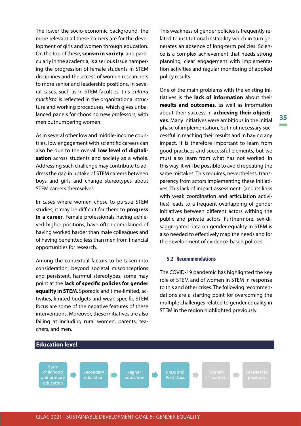The lower the socio-economic background, the more relevant all these barriers are for the development of girls and women through education. On the top of these, **sexism in society**, and particularly in the academia, is a serious issue hampering the progression of female students in STEM disciplines and the access of women researchers to more senior and leadership positions. In several cases, such as in STEM faculties, this '*cultura machista*' is reflected in the organizational structure and working procedures, which gives unbalanced panels for choosing new professors, with men outnumbering women.

As in several other low and middle-income countries, low engagement with scientific careers can also be due to the overall **low level of digitalisation** across students and society as a whole. Addressing such challenge may contribute to address the gap in uptake of STEM careers between boys and girls and change stereotypes about STEM careers themselves.

In cases where women chose to pursue STEM studies, it may be difficult for them to **progress in a career**. Female professionals having achieved higher positions, have often complained of having worked harder than male colleagues and of having benefitted less than men from financial opportunities for research.

Among the contextual factors to be taken into consideration, beyond societal misconceptions and persistent, harmful stereotypes, some may point at the **lack of specific policies for gender equality in STEM**. Sporadic and time-limited, activities, limited budgets and weak specific STEM focus are some of the negative features of these interventions. Moreover, these initiatives are also failing at including rural women, parents, teachers, and men.

This weakness of gender policies is frequently related to institutional instability which in turn generates an absence of long-term policies. Science is a complex achievement that needs strong planning, clear engagement with implementation activities and regular monitoring of applied policy results.

One of the main problems with the existing initiatives is the **lack of information** about their **results and outcomes**, as well as information about their success in **achieving their objectives**. Many initiatives were ambitious in the initial phase of implementation, but not necessary successful in reaching their results and in having any impact. It is therefore important to learn from good practices and successful elements, but we must also learn from what has not worked. In this way, it will be possible to avoid repeating the same mistakes. This requires, nevertheless, transparency from actors implementing these initiatives. This lack of impact assessment (and its links with weak coordination and articulation activities) leads to a frequent overlapping of gender initiatives between different actors withing the public and private actors. Furthermore, sex-disaggregated data on gender equality in STEM is also needed to effectively map the needs and for the development of evidence-based policies.

#### **5.2 Recommendations**

The COVID-19 pandemic has highlighted the key role of STEM and of women in STEM in response to this and other crises. The following recommendations are a starting point for overcoming the multiple challenges related to gender equality in STEM in the region highlighted previously.

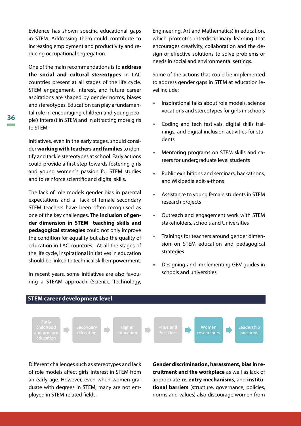Evidence has shown specific educational gaps in STEM. Addressing them could contribute to increasing employment and productivity and reducing occupational segregation.

One of the main recommendations is to **address the social and cultural stereotypes** in LAC countries present at all stages of the life cycle. STEM engagement, interest, and future career aspirations are shaped by gender norms, biases and stereotypes. Education can play a fundamental role in encouraging children and young people's interest in STEM and in attracting more girls to STEM.

Initiatives, even in the early stages, should consider **working with teachers and families** to identify and tackle stereotypes at school. Early actions could provide a first step towards fostering girls and young women´s passion for STEM studies and to reinforce scientific and digital skills.

The lack of role models gender bias in parental expectations and a lack of female secondary STEM teachers have been often recognised as one of the key challenges. The **inclusion of gender dimension in STEM teaching skills and pedagogical strategies** could not only improve the condition for equality but also the quality of education in LAC countries. At all the stages of the life cycle, inspirational initiatives in education should be linked to technical skill empowerment.

In recent years, some initiatives are also favouring a STEAM approach (Science, Technology,

**STEM career development level**

Engineering, Art and Mathematics) in education, which promotes interdisciplinary learning that encourages creativity, collaboration and the design of effective solutions to solve problems or needs in social and environmental settings.

Some of the actions that could be implemented to address gender gaps in STEM at education level include:

- » Inspirational talks about role models, science vocations and stereotypes for girls in schools
- » Coding and tech festivals, digital skills trainings, and digital inclusion activities for students
- » Mentoring programs on STEM skills and careers for undergraduate level students
- » Public exhibitions and seminars, hackathons, and Wikipedia edit-a-thons
- » Assistance to young female students in STEM research projects
- » Outreach and engagement work with STEM stakeholders, schools and Universities
- » Trainings for teachers around gender dimension on STEM education and pedagogical strategies
- » Designing and implementing GBV guides in schools and universities



Different challenges such as stereotypes and lack of role models affect girls' interest in STEM from an early age. However, even when women graduate with degrees in STEM, many are not employed in STEM-related fields.

**Gender discrimination, harassment, bias in recruitment and the workplace** as well as lack of appropriate **re-entry mechanisms**, and **institutional barriers** (structure, governance, policies, norms and values) also discourage women from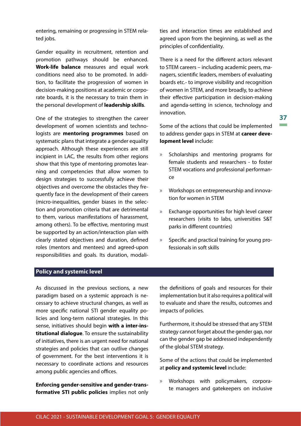entering, remaining or progressing in STEM related jobs.

Gender equality in recruitment, retention and promotion pathways should be enhanced. **Work-life balance** measures and equal work conditions need also to be promoted. In addition, to facilitate the progression of women in decision-making positions at academic or corporate boards, it is the necessary to train them in the personal development of **leadership skills**.

One of the strategies to strengthen the career development of women scientists and technologists are **mentoring programmes** based on systematic plans that integrate a gender equality approach. Although these experiences are still incipient in LAC, the results from other regions show that this type of mentoring promotes learning and competencies that allow women to design strategies to successfully achieve their objectives and overcome the obstacles they frequently face in the development of their careers (micro-inequalities, gender biases in the selection and promotion criteria that are detrimental to them, various manifestations of harassment, among others). To be effective, mentoring must be supported by an action/interaction plan with clearly stated objectives and duration, defined roles (mentors and mentees) and agreed-upon responsibilities and goals. Its duration, modalities and interaction times are established and agreed upon from the beginning, as well as the principles of confidentiality.

There is a need for the different actors relevant to STEM careers – including academic peers, managers, scientific leaders, members of evaluating boards etc.- to improve visibility and recognition of women in STEM, and more broadly, to achieve their effective participation in decision-making and agenda-setting in science, technology and innovation.

Some of the actions that could be implemented to address gender gaps in STEM at **career development level** include:

- » Scholarships and mentoring programs for female students and researchers - to foster STEM vocations and professional performance
- » Workshops on entrepreneurship and innovation for women in STEM
- » Exchange opportunities for high level career researchers (visits to labs, universities S&T parks in different countries)
- » Specific and practical training for young professionals in soft skills

#### **Policy and systemic level**

As discussed in the previous sections, a new paradigm based on a systemic approach is necessary to achieve structural changes, as well as more specific national STI gender equality policies and long-term national strategies. In this sense, initiatives should begin **with a inter-institutional dialogue**. To ensure the sustainability of initiatives, there is an urgent need for national strategies and policies that can outlive changes of government. For the best interventions it is necessary to coordinate actions and resources among public agencies and offices.

**Enforcing gender-sensitive and gender-transformative STI public policies** implies not only the definitions of goals and resources for their implementation but it also requires a political will to evaluate and share the results, outcomes and impacts of policies.

Furthermore, it should be stressed that any STEM strategy cannot forget about the gender gap, nor can the gender gap be addressed independently of the global STEM strategy.

Some of the actions that could be implemented at **policy and systemic level** include:

» Workshops with policymakers, corporate managers and gatekeepers on inclusive **37**

 $\mathcal{L}(\mathcal{A})$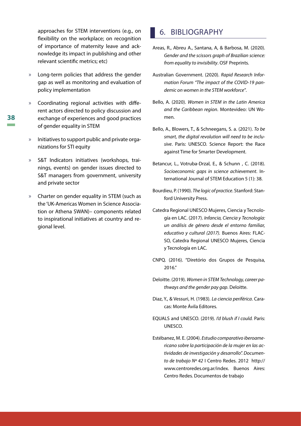approaches for STEM interventions (e.g., on flexibility on the workplace; on recognition of importance of maternity leave and acknowledge its impact in publishing and other relevant scientific metrics; etc)

- » Long-term policies that address the gender gap as well as monitoring and evaluation of policy implementation
- » Coordinating regional activities with different actors directed to policy discussion and exchange of experiences and good practices of gender equality in STEM
- » Initiatives to support public and private organizations for STI equity
- » S&T Indicators initiatives (workshops, trainings, events) on gender issues directed to S&T managers from government, university and private sector
- » Charter on gender equality in STEM (such as the 'UK-Americas Women in Science Association or Athena SWAN)– components related to inspirational initiatives at country and regional level.

### 6. BIBLIOGRAPHY

- Areas, R., Abreu A., Santana, A, & Barbosa, M. (2020). *Gender and the scissors graph of Brazilian science: from equality to invisibility*. OSF Preprints.
- Australian Government. (2020). *Rapid Research Information Forum "The impact of the COVID-19 pandemic on women in the STEM workforce"*.
- Bello, A. (2020). *Women in STEM in the Latin America and the Caribbean region*. Montevideo: UN Women.
- Bello, A., Blowers, T., & Schneegans, S. a. (2021). *To be smart, the digital revolution will need to be inclusive*. Paris: UNESCO. Science Report: the Race against Time for Smarter Development.
- Betancur, L., Votruba-Drzal, E., & Schunn , C. (2018). *Socioeconomic gaps in science achievement*. International Journal of STEM Education 5 (1): 38.
- Bourdieu, P. (1990). *The logic of practice*. Stanford: Stanford University Press.
- Catedra Regional UNESCO Mujeres, Ciencia y Tecnología en LAC. (2017). *Infancia, Ciencia y Tecnología: un análisis de género desde el entorno familiar, educativo y cultural (2017).* Buenos Aires: FLAC-SO, Catedra Regional UNESCO Mujeres, Ciencia y Tecnología en LAC.
- CNPQ. (2016). "Diretório dos Grupos de Pesquisa, 2016."
- Deloitte. (2019). *Women in STEM Technology, career pathways and the gender pay gap*. Deloitte.
- Diaz, Y., & Vessuri, H. (1983). *La ciencia periférica*. Caracas: Monte Ávila Editores.
- EQUALS and UNESCO. (2019). *I'd blush if I could.* Paris: UNESCO.
- Estébanez, M. E. (2004). *Estudio comparativo iberoamericano sobre la participación de la mujer en las actividades de investigación y desarrollo". Documento de trabajo Nº 42* I Centro Redes. 2012 http:// www.centroredes.org.ar/index. Buenos Aires: Centro Redes. Documentos de trabajo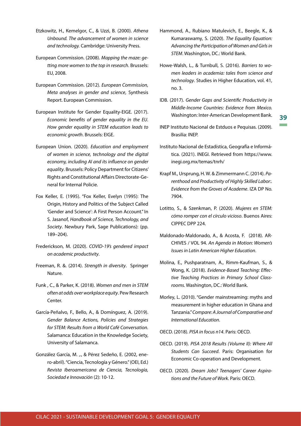- Etzkowitz, H., Kemelgor, C., & Uzzi, B. (2000). *Athena Unbound. The advancement of women in science and technology.* Cambridge: University Press.
- European Commission. (2008). *Mapping the maze: getting more women to the top in research*. Brussels: EU, 2008.
- European Commission. (2012). *European Commission, Meta analyses in gender and science*, Synthesis Report. European Commission.
- European Institute for Gender Equality-EIGE. (2017). *Economic benefits of gender equality in the EU. How gender equality in STEM education leads to economic growth*. Brussels: EIGE.
- European Union. (2020). *Education and employment of women in science, technology and the digital economy, including AI and its influence on gender equality*. Brussels: Policy Department for Citizens' Rights and Constitutional Affairs Directorate-General for Internal Policie.
- Fox Keller, E. (1995). "Fox Keller, Evelyn (1995): The Origin, History and Politics of the Subject Called 'Gender and Science': A First Person Account." In S. Jasanof, *Handbook of Science, Technology, and Society*. Newbury Park, Sage Publications): (pp. 189–204).
- Frederickson, M. (2020). *COVID-19's gendered impact on academic productivity*.
- Freeman, R. &. (2014). *Strength in diversity*. Springer Nature.
- Funk , C., & Parker, K. (2018). *Women and men in STEM often at odds over workplace equity*. Pew Research Center.
- García-Peñalvo, F., Bello, A., & Domínguez, A. (2019). *Gender Balance Actions, Policies and Strategies for STEM: Results from a World Café Conversation.* Salamanca: Education in the Knowledge Society, University of Salamanca.
- González García, M. ,., & Pérez Sedeño, E. (2002, enero-abril). "Ciencia, Tecnología y Género." (OEI, Ed.) *Revista Iberoamericana de Ciencia, Tecnología, Sociedad e Innovación* (2): 10-12.
- Hammond, A., Rubiano Matulevich, E., Beegle, K., & Kumaraswamy, S. (2020). *The Equality Equation: Advancing the Participation of Women and Girls in STEM*. Washington, DC.: World Bank.
- Howe-Walsh, L., & Turnbull, S. (2016). *Barriers to women leaders in academia: tales from science and technology*. Studies in Higher Education, vol. 41, no. 3.
- IDB. (2017). *Gender Gaps and Scientific Productivity in Middle-Income Countries: Evidence from Mexico.* Washington: Inter-American Development Bank.
- **39**
- INEP Instituto Nacional de Estduos e Pequisas. (2009). Brasilia: INEP.
- Instituto Nacional de Estadística, Geografía e Informática. (2021). INEGI. Retrieved from https://www. inegi.org.mx/temas/tnrh/
- Krapf M., Ursprung, H. W. & Zimmermann C. (2014). *Parenthood and Productivity of Highly Skilled Labor:. Evidence from the Groves of Academe*. IZA DP No. 7904.
- Lotitto, S., & Szenkman, P. (2020). *Mujeres en STEM: cómo romper con el círculo vicioso*. Buenos Aires: CIPPEC DPP 224.
- Maldonado-Maldonado, A., & Acosta, F. (2018). AR-CHIVES / VOL 94. *An Agenda in Motion: Women's Issues in Latin American Higher Education*.
- Molina, E., Pushparatnam, A., Rimm-Kaufman, S., & Wong, K. (2018). *Evidence-Based Teaching: Effective Teaching Practices in Primary School Classrooms.* Washington, DC.: World Bank.
- Morley, L. (2010). "Gender mainstreaming: myths and measurement in higher education in Ghana and Tanzania." *Compare: A Journal of Comparative and International Education*.

OECD. (2018). *PISA in focus n14*. Paris: OECD.

- OECD. (2019). *PISA 2018 Results (Volume II): Where All Students Can Succeed*. Paris: Organisation for Economic Co-operation and Development.
- OECD. (2020). *Dream Jobs? Teenagers' Career Aspirations and the Future of Work*. Paris: OECD.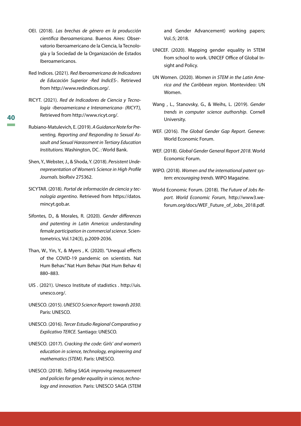- OEI. (2018). *Las brechas de género en la producción científica Iberoamericana*. Buenos Aires: Observatorio Iberoamericano de la Ciencia, la Tecnología y la Sociedad de la Organización de Estados Iberoamericanos.
- Red Indices. (2021). *Red Iberoamericana de Indicadores de Educación Superior -Red IndicES*-. Retrieved from http://www.redindices.org/.
- RICYT. (2021). *Red de Indicadores de Ciencia y Tecnología -Iberoamericana e Interamericana- (RICYT),* Retrieved from http://www.ricyt.org/.
- Rubiano-Matulevich, E. (2019). *A Guidance Note for Preventing, Reporting and Responding to Sexual Assault and Sexual Harassment in Tertiary Education Institutions.* Washington, DC. : World Bank.
- Shen, Y., Webster, J., & Shoda, Y. (2018). *Persistent Underrepresentation of Women's Science in High Profile Journals*. bioRxiv 275362.
- SICYTAR. (2018). *Portal de información de ciencia y tecnología argentino*. Retrieved from https://datos. mincyt.gob.ar.
- Sifontes, D., & Morales, R. (2020). *Gender differences and patenting in Latin America: understanding female participation in commercial science*. Scientometrics, Vol.124(3), p.2009-2036.
- Than, W., Yin, Y., & Myers , K. (2020). "Unequal effects of the COVID-19 pandemic on scientists. Nat Hum Behav." Nat Hum Behav (Nat Hum Behav 4) 880–883.
- UIS . (2021). Unesco Institute of stadistics . http://uis. unesco.org/.
- UNESCO. (2015). *UNESCO Science Report: towards 2030*. Paris: UNESCO.
- UNESCO. (2016). *Tercer Estudio Regional Comparativo y Explicativo TERCE.* Santiago: UNESCO.
- UNESCO. (2017). *Cracking the code: Girls' and women's education in science, technology, engineering and mathematics (STEM)*. Paris: UNESCO.
- UNESCO. (2018). *Telling SAGA: improving measurement and policies for gender equality in science, technology and innovation.* Paris: UNESCO SAGA (STEM

and Gender Advancement) working papers; Vol.:5; 2018.

- UNICEF. (2020). Mapping gender equality in STEM from school to work. UNICEF Office of Global Insight and Policy.
- UN Women. (2020). *Women in STEM in the Latin America and the Caribbean region*. Montevideo: UN Women.
- Wang , L., Stanovsky, G., & Weihs, L. (2019). *Gender trends in computer science authorship*. Cornell University.
- WEF. (2016). *The Global Gender Gap Report*. Geneve: World Economic Forum.
- WEF. (2018). *Global Gender General Report 2018*. World Economic Forum.
- WIPO. (2018). *Women and the international patent system: encouraging trends*. WIPO Magazine.
- World Economic Forum. (2018). *The Future of Jobs Report. World Economic Forum*, http://www3.weforum.org/docs/WEF\_Future\_of\_Jobs\_2018.pdf.